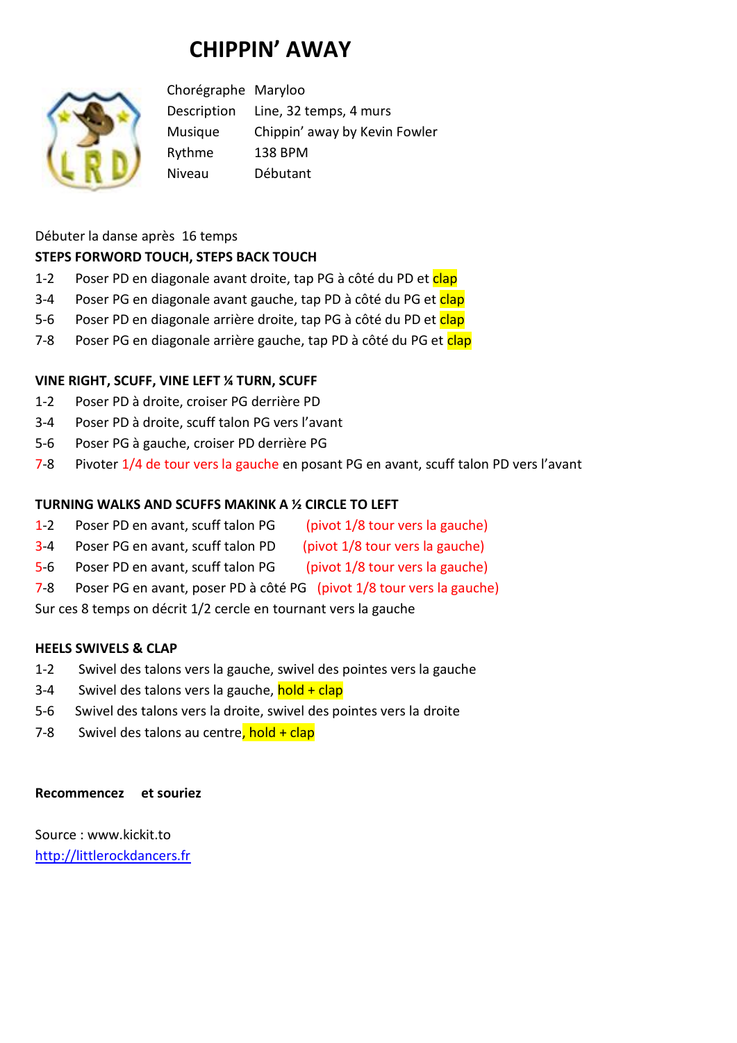# **CHIPPIN' AWAY**



Chorégraphe Maryloo Description Line, 32 temps, 4 murs Musique Chippin' away by Kevin Fowler Rythme 138 BPM Niveau Débutant

# Débuter la danse après 16 temps **STEPS FORWORD TOUCH, STEPS BACK TOUCH**

- 1-2 Poser PD en diagonale avant droite, tap PG à côté du PD et clap
- 3-4 Poser PG en diagonale avant gauche, tap PD à côté du PG et clap
- 5-6 Poser PD en diagonale arrière droite, tap PG à côté du PD et clap
- 7-8 Poser PG en diagonale arrière gauche, tap PD à côté du PG et clap

### **VINE RIGHT, SCUFF, VINE LEFT ¼ TURN, SCUFF**

- 1-2 Poser PD à droite, croiser PG derrière PD
- 3-4 Poser PD à droite, scuff talon PG vers l'avant
- 5-6 Poser PG à gauche, croiser PD derrière PG
- 7-8 Pivoter 1/4 de tour vers la gauche en posant PG en avant, scuff talon PD vers l'avant

#### **TURNING WALKS AND SCUFFS MAKINK A ½ CIRCLE TO LEFT**

- 1-2 Poser PD en avant, scuff talon PG (pivot 1/8 tour vers la gauche)
- 3-4 Poser PG en avant, scuff talon PD (pivot 1/8 tour vers la gauche)
- 5-6 Poser PD en avant, scuff talon PG (pivot 1/8 tour vers la gauche)
- 7-8 Poser PG en avant, poser PD à côté PG (pivot 1/8 tour vers la gauche)

Sur ces 8 temps on décrit 1/2 cercle en tournant vers la gauche

#### **HEELS SWIVELS & CLAP**

- 1-2 Swivel des talons vers la gauche, swivel des pointes vers la gauche
- 3-4 Swivel des talons vers la gauche,  $hold + clip$
- 5-6 Swivel des talons vers la droite, swivel des pointes vers la droite
- 7-8 Swivel des talons au centre, hold + clap

#### **Recommencez et souriez**

Source : www.kickit.to [http://littlerockdancers.fr](http://littlerockdancers.fr/)